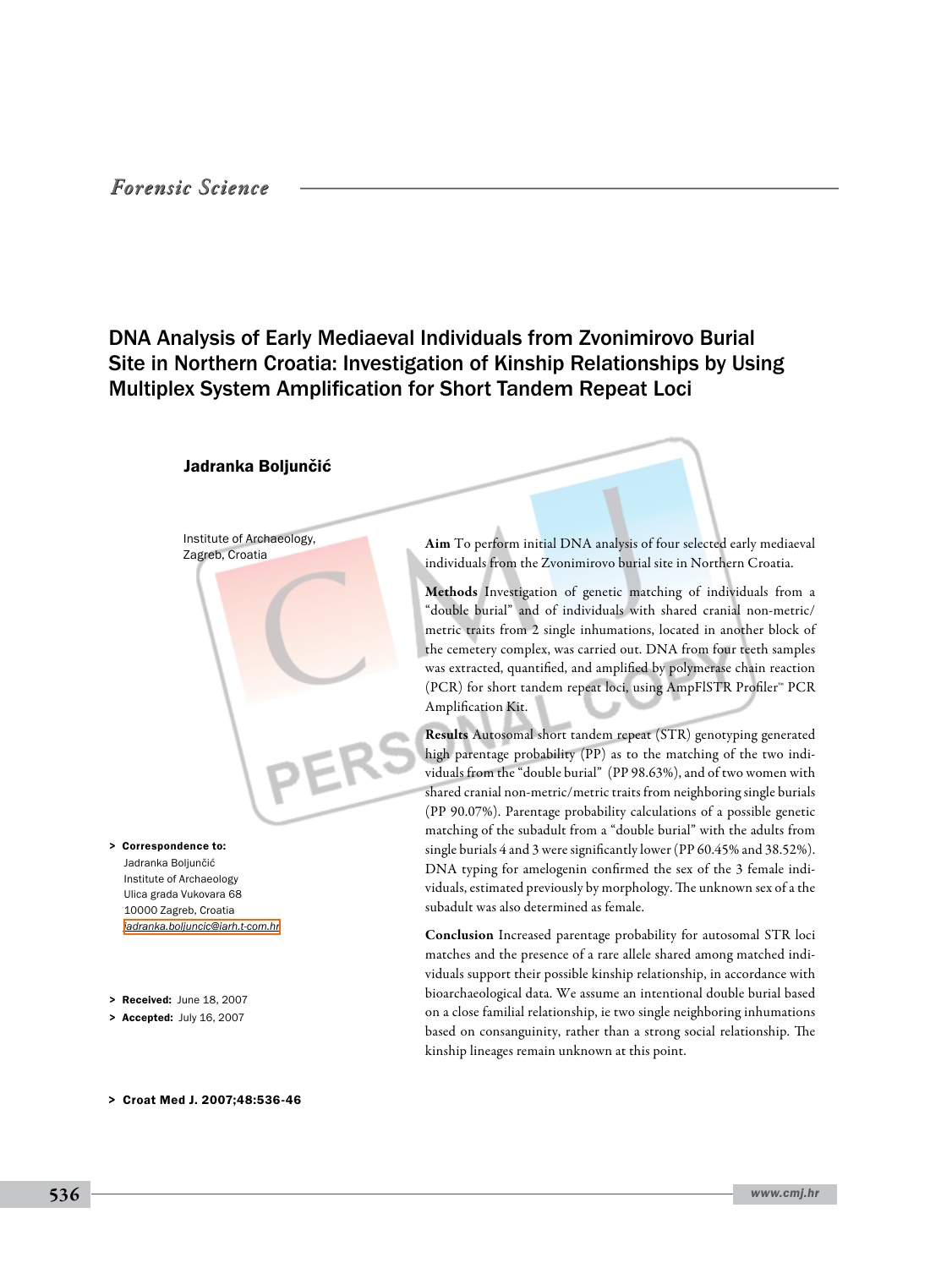### *Forensic Science*

## DNA Analysis of Early Mediaeval Individuals from Zvonimirovo Burial Site in Northern Croatia: Investigation of Kinship Relationships by Using Multiplex System Amplification for Short Tandem Repeat Loci

#### Jadranka Boljunčić

Institute of Archaeology, Zagreb, Croatia

Jadranka Boljunčić Institute of Archaeology Ulica grada Vukovara 68 10000 Zagreb, Croatia *[jadranka.boljuncic@iarh.t-com.hr](mailto: jadranka.boljuncic@iarh.t-com.hr )* > Correspondence to:

- > Received: June 18, 2007
- > Accepted: July 16, 2007

> Croat Med J. 2007;48:536-46

Aim To perform initial DNA analysis of four selected early mediaeval individuals from the Zvonimirovo burial site in Northern Croatia.

Methods Investigation of genetic matching of individuals from a "double burial" and of individuals with shared cranial non-metric/ metric traits from 2 single inhumations, located in another block of the cemetery complex, was carried out. DNA from four teeth samples was extracted, quantified, and amplified by polymerase chain reaction (PCR) for short tandem repeat loci, using AmpFlSTR Profiler™ PCR Amplification Kit.

Results Autosomal short tandem repeat (STR) genotyping generated high parentage probability (PP) as to the matching of the two individuals from the "double burial" (PP 98.63%), and of two women with shared cranial non-metric/metric traits from neighboring single burials (PP 90.07%). Parentage probability calculations of a possible genetic matching of the subadult from a "double burial" with the adults from single burials 4 and 3 were significantly lower (PP 60.45% and 38.52%). DNA typing for amelogenin confirmed the sex of the 3 female individuals, estimated previously by morphology. The unknown sex of a the subadult was also determined as female.

Conclusion Increased parentage probability for autosomal STR loci matches and the presence of a rare allele shared among matched individuals support their possible kinship relationship, in accordance with bioarchaeological data. We assume an intentional double burial based on a close familial relationship, ie two single neighboring inhumations based on consanguinity, rather than a strong social relationship. The kinship lineages remain unknown at this point.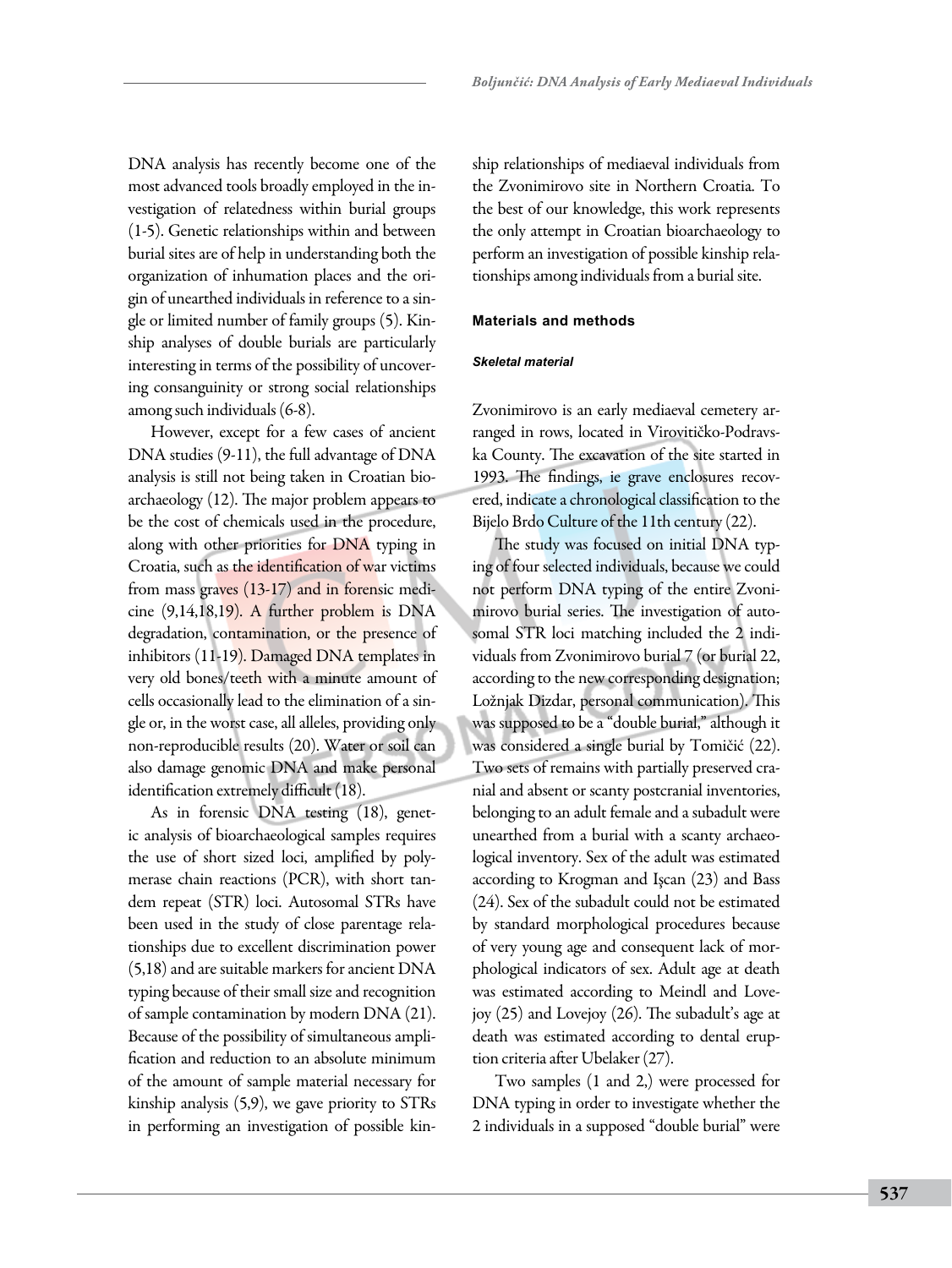DNA analysis has recently become one of the most advanced tools broadly employed in the investigation of relatedness within burial groups (1-5). Genetic relationships within and between burial sites are of help in understanding both the organization of inhumation places and the origin of unearthed individuals in reference to a single or limited number of family groups (5). Kinship analyses of double burials are particularly interesting in terms of the possibility of uncovering consanguinity or strong social relationships among such individuals (6-8).

However, except for a few cases of ancient DNA studies (9-11), the full advantage of DNA analysis is still not being taken in Croatian bioarchaeology (12). The major problem appears to be the cost of chemicals used in the procedure, along with other priorities for DNA typing in Croatia, such as the identification of war victims from mass graves (13-17) and in forensic medicine (9,14,18,19). A further problem is DNA degradation, contamination, or the presence of inhibitors (11-19). Damaged DNA templates in very old bones/teeth with a minute amount of cells occasionally lead to the elimination of a single or, in the worst case, all alleles, providing only non-reproducible results (20). Water or soil can also damage genomic DNA and make personal identification extremely difficult (18).

As in forensic DNA testing (18), genetic analysis of bioarchaeological samples requires the use of short sized loci, amplified by polymerase chain reactions (PCR), with short tandem repeat (STR) loci. Autosomal STRs have been used in the study of close parentage relationships due to excellent discrimination power (5,18) and are suitable markers for ancient DNA typing because of their small size and recognition of sample contamination by modern DNA (21). Because of the possibility of simultaneous amplification and reduction to an absolute minimum of the amount of sample material necessary for kinship analysis (5,9), we gave priority to STRs in performing an investigation of possible kinship relationships of mediaeval individuals from the Zvonimirovo site in Northern Croatia. To the best of our knowledge, this work represents the only attempt in Croatian bioarchaeology to perform an investigation of possible kinship relationships among individuals from a burial site.

#### **Materials and methods**

#### *Skeletal material*

Zvonimirovo is an early mediaeval cemetery arranged in rows, located in Virovitičko-Podravska County. The excavation of the site started in 1993. The findings, ie grave enclosures recovered, indicate a chronological classification to the Bijelo Brdo Culture of the 11th century (22).

The study was focused on initial DNA typing of four selected individuals, because we could not perform DNA typing of the entire Zvonimirovo burial series. The investigation of autosomal STR loci matching included the 2 individuals from Zvonimirovo burial 7 (or burial 22, according to the new corresponding designation; Ložnjak Dizdar, personal communication). This was supposed to be a "double burial," although it was considered a single burial by Tomičić (22). Two sets of remains with partially preserved cranial and absent or scanty postcranial inventories, belonging to an adult female and a subadult were unearthed from a burial with a scanty archaeological inventory. Sex of the adult was estimated according to Krogman and Işcan (23) and Bass (24). Sex of the subadult could not be estimated by standard morphological procedures because of very young age and consequent lack of morphological indicators of sex. Adult age at death was estimated according to Meindl and Lovejoy (25) and Lovejoy (26). The subadult's age at death was estimated according to dental eruption criteria after Ubelaker (27).

Two samples (1 and 2,) were processed for DNA typing in order to investigate whether the 2 individuals in a supposed "double burial" were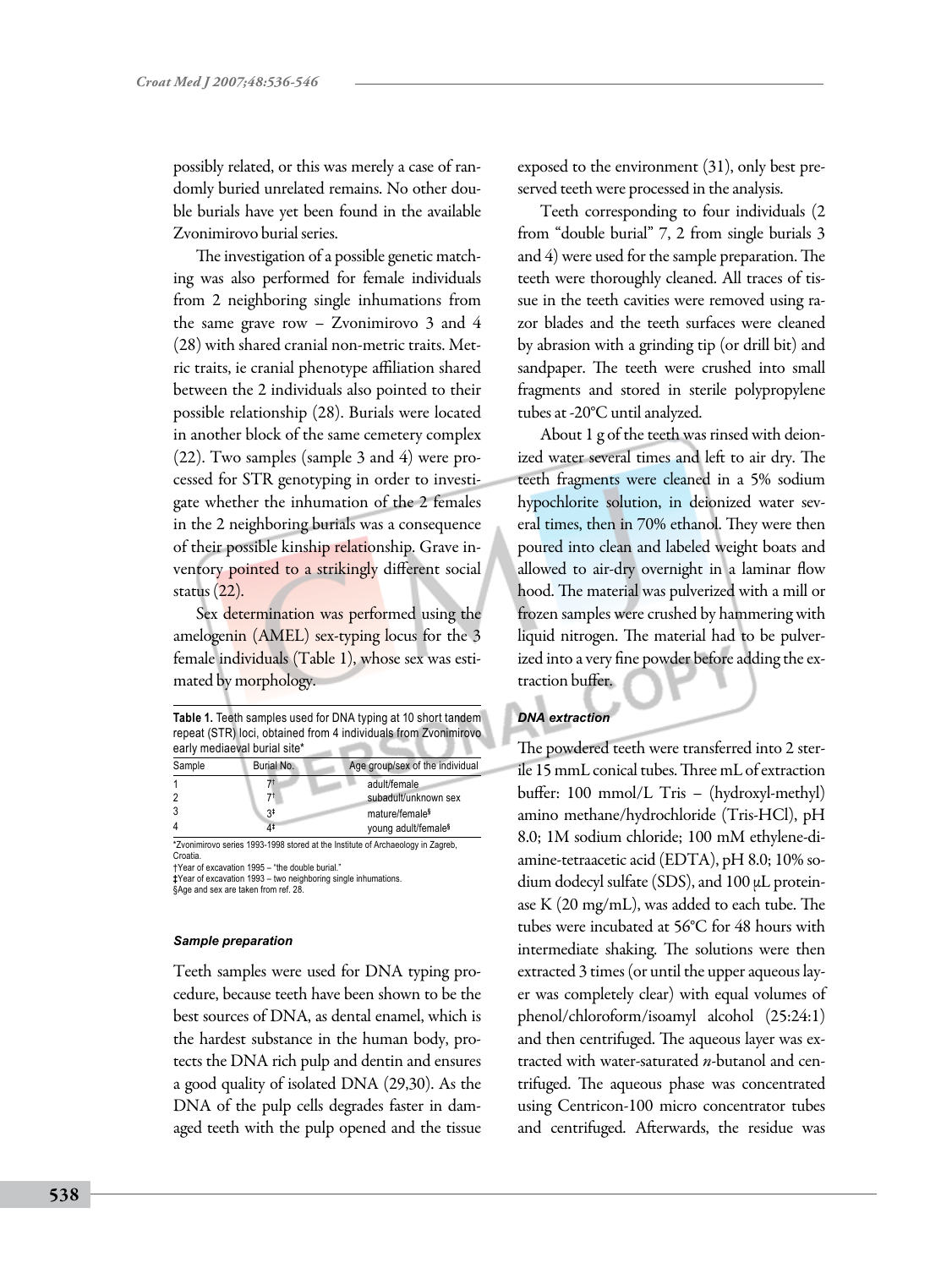possibly related, or this was merely a case of randomly buried unrelated remains. No other double burials have yet been found in the available Zvonimirovo burial series.

The investigation of a possible genetic matching was also performed for female individuals from 2 neighboring single inhumations from the same grave row – Zvonimirovo 3 and 4 (28) with shared cranial non-metric traits. Metric traits, ie cranial phenotype affiliation shared between the 2 individuals also pointed to their possible relationship (28). Burials were located in another block of the same cemetery complex (22). Two samples (sample 3 and 4) were processed for STR genotyping in order to investigate whether the inhumation of the 2 females in the 2 neighboring burials was a consequence of their possible kinship relationship. Grave inventory pointed to a strikingly different social status (22).

Sex determination was performed using the amelogenin (AMEL) sex-typing locus for the 3 female individuals (Table 1), whose sex was estimated by morphology.

| Table 1. Teeth samples used for DNA typing at 10 short tandem   |
|-----------------------------------------------------------------|
| repeat (STR) loci, obtained from 4 individuals from Zvonimirovo |
| early mediaeval burial site*                                    |

| Sample         | Burial No. | Age group/sex of the individual                                                                      |  |  |  |
|----------------|------------|------------------------------------------------------------------------------------------------------|--|--|--|
|                |            | adult/female                                                                                         |  |  |  |
| $\mathcal{P}$  | 71         | subadult/unknown sex                                                                                 |  |  |  |
| 3              | 3‡         | mature/female <sup>§</sup>                                                                           |  |  |  |
| $\overline{4}$ | 4‡         | young adult/female <sup>§</sup>                                                                      |  |  |  |
|                |            | $+7.$ , the three constant $+0.00$ $+0.00$ and $-1.$ and $-1.$ and $-1.$ and $-1.$ $-1.$ $-1.$ $-1.$ |  |  |  |

\*Zvonimirovo series 1993-1998 stored at the Institute of Archaeology in Zagreb, Croatia.

†Year of excavation 1995 – "the double burial."

**‡**Year of excavation 1993 – two neighboring single inhumations. §Age and sex are taken from ref. 28.

# *Sample preparation*

Teeth samples were used for DNA typing procedure, because teeth have been shown to be the best sources of DNA, as dental enamel, which is the hardest substance in the human body, protects the DNA rich pulp and dentin and ensures a good quality of isolated DNA (29,30). As the DNA of the pulp cells degrades faster in damaged teeth with the pulp opened and the tissue

exposed to the environment (31), only best preserved teeth were processed in the analysis.

Teeth corresponding to four individuals (2 from "double burial" 7, 2 from single burials 3 and 4) were used for the sample preparation. The teeth were thoroughly cleaned. All traces of tissue in the teeth cavities were removed using razor blades and the teeth surfaces were cleaned by abrasion with a grinding tip (or drill bit) and sandpaper. The teeth were crushed into small fragments and stored in sterile polypropylene tubes at -20°C until analyzed.

About 1 g of the teeth was rinsed with deionized water several times and left to air dry. The teeth fragments were cleaned in a 5% sodium hypochlorite solution, in deionized water several times, then in 70% ethanol. They were then poured into clean and labeled weight boats and allowed to air-dry overnight in a laminar flow hood. The material was pulverized with a mill or frozen samples were crushed by hammering with liquid nitrogen. The material had to be pulverized into a very fine powder before adding the extraction buffer.

#### *DNA extraction*

The powdered teeth were transferred into 2 sterile 15 mmL conical tubes. Three mL of extraction buffer: 100 mmol/L Tris – (hydroxyl-methyl) amino methane/hydrochloride (Tris-HCl), pH 8.0; 1M sodium chloride; 100 mM ethylene-diamine-tetraacetic acid (EDTA), pH 8.0; 10% sodium dodecyl sulfate (SDS), and 100 µL proteinase K (20 mg/mL), was added to each tube. The tubes were incubated at 56°C for 48 hours with intermediate shaking. The solutions were then extracted 3 times (or until the upper aqueous layer was completely clear) with equal volumes of phenol/chloroform/isoamyl alcohol (25:24:1) and then centrifuged. The aqueous layer was extracted with water-saturated *n*-butanol and centrifuged. The aqueous phase was concentrated using Centricon-100 micro concentrator tubes and centrifuged. Afterwards, the residue was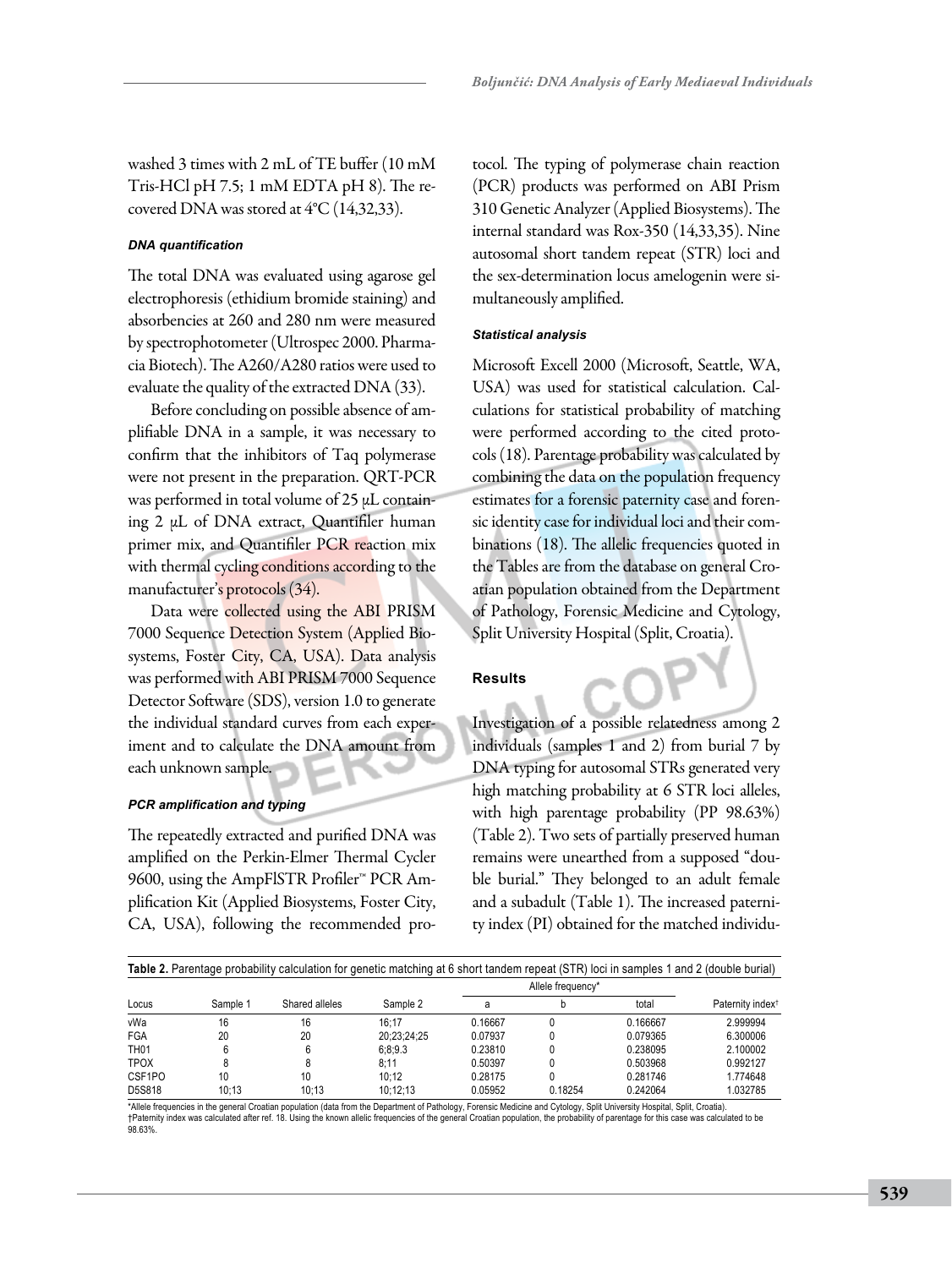washed 3 times with 2 mL of TE buffer (10 mM Tris-HCl pH 7.5; 1 mM EDTA pH 8). The recovered DNA was stored at 4°C (14,32,33).

#### *DNA quantification*

The total DNA was evaluated using agarose gel electrophoresis (ethidium bromide staining) and absorbencies at 260 and 280 nm were measured by spectrophotometer (Ultrospec 2000. Pharmacia Biotech). The A260/A280 ratios were used to evaluate the quality of the extracted DNA (33).

Before concluding on possible absence of amplifiable DNA in a sample, it was necessary to confirm that the inhibitors of Taq polymerase were not present in the preparation. QRT-PCR was performed in total volume of 25 μL containing 2 μL of DNA extract, Quantifiler human primer mix, and Quantifiler PCR reaction mix with thermal cycling conditions according to the manufacturer's protocols (34).

Data were collected using the ABI PRISM 7000 Sequence Detection System (Applied Biosystems, Foster City, CA, USA). Data analysis was performed with ABI PRISM 7000 Sequence Detector Software (SDS), version 1.0 to generate the individual standard curves from each experiment and to calculate the DNA amount from each unknown sample.

#### *PCR amplification and typing*

The repeatedly extracted and purified DNA was amplified on the Perkin-Elmer Thermal Cycler 9600, using the AmpFlSTR Profiler<sup>™</sup> PCR Amplification Kit (Applied Biosystems, Foster City, CA, USA), following the recommended protocol. The typing of polymerase chain reaction (PCR) products was performed on ABI Prism 310 Genetic Analyzer (Applied Biosystems). The internal standard was Rox-350 (14,33,35). Nine autosomal short tandem repeat (STR) loci and the sex-determination locus amelogenin were simultaneously amplified.

#### *Statistical analysis*

Microsoft Excell 2000 (Microsoft, Seattle, WA, USA) was used for statistical calculation. Calculations for statistical probability of matching were performed according to the cited protocols (18). Parentage probability was calculated by combining the data on the population frequency estimates for a forensic paternity case and forensic identity case for individual loci and their combinations (18). The allelic frequencies quoted in the Tables are from the database on general Croatian population obtained from the Department of Pathology, Forensic Medicine and Cytology, Split University Hospital (Split, Croatia).

#### **Results**

Investigation of a possible relatedness among 2 individuals (samples 1 and 2) from burial 7 by DNA typing for autosomal STRs generated very high matching probability at 6 STR loci alleles, with high parentage probability (PP 98.63%) (Table 2). Two sets of partially preserved human remains were unearthed from a supposed "double burial." They belonged to an adult female and a subadult (Table 1). The increased paternity index (PI) obtained for the matched individu-

| Table 2. Parentage probability calculation for genetic matching at 6 short tandem repeat (STR) loci in samples 1 and 2 (double burial) |          |                |             |         |                   |          |                              |  |  |
|----------------------------------------------------------------------------------------------------------------------------------------|----------|----------------|-------------|---------|-------------------|----------|------------------------------|--|--|
| Locus                                                                                                                                  | Sample 1 |                | Sample 2    |         | Allele frequency* |          | Paternity index <sup>†</sup> |  |  |
|                                                                                                                                        |          | Shared alleles |             | a       |                   | total    |                              |  |  |
| vWa                                                                                                                                    | 16       | 16             | 16:17       | 0.16667 |                   | 0.166667 | 2.999994                     |  |  |
| FGA                                                                                                                                    | 20       | 20             | 20:23:24:25 | 0.07937 |                   | 0.079365 | 6.300006                     |  |  |
| <b>TH01</b>                                                                                                                            |          | 6              | 6:8:9.3     | 0.23810 |                   | 0.238095 | 2.100002                     |  |  |
| <b>TPOX</b>                                                                                                                            |          |                | 8:11        | 0.50397 |                   | 0.503968 | 0.992127                     |  |  |
| CSF1PO                                                                                                                                 | 10       | 10             | 10:12       | 0.28175 |                   | 0.281746 | 1.774648                     |  |  |
| D5S818                                                                                                                                 | 10:13    | 10:13          | 10:12:13    | 0.05952 | 0.18254           | 0.242064 | 1.032785                     |  |  |

\*Allele frequencies in the general Croatian population (data from the Department of Pathology, Forensic Medicine and Cytology, Split University Hospital, Split, Croatia). †Paternity index was calculated after ref. 18. Using the known allelic frequencies of the general Croatian population, the probability of parentage for this case was calculated to be 98.63%.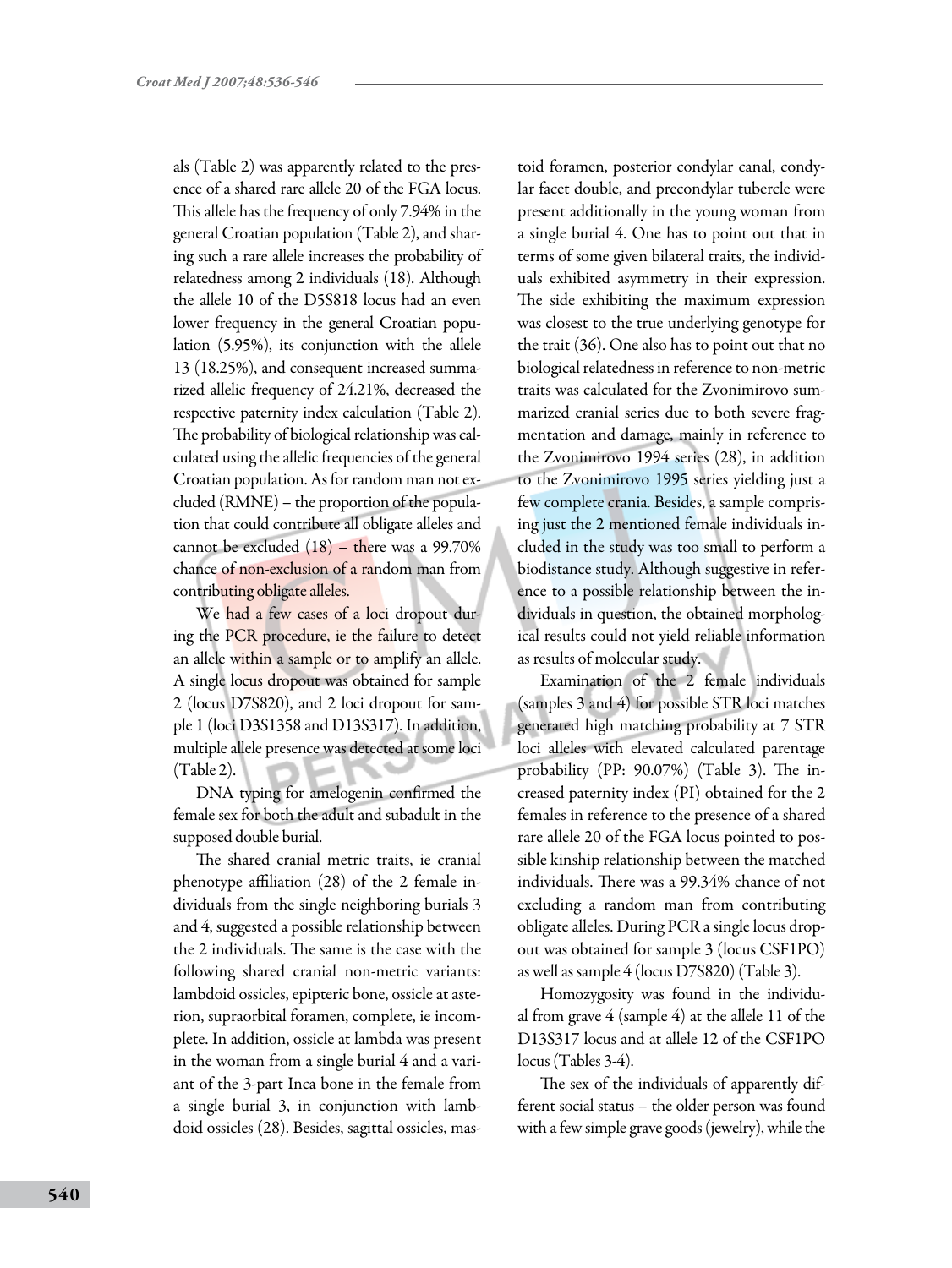als (Table 2) was apparently related to the presence of a shared rare allele 20 of the FGA locus. This allele has the frequency of only 7.94% in the general Croatian population (Table 2), and sharing such a rare allele increases the probability of relatedness among 2 individuals (18). Although the allele 10 of the D5S818 locus had an even lower frequency in the general Croatian population (5.95%), its conjunction with the allele 13 (18.25%), and consequent increased summarized allelic frequency of 24.21%, decreased the respective paternity index calculation (Table 2). The probability of biological relationship was calculated using the allelic frequencies of the general Croatian population. As for random man not excluded (RMNE) – the proportion of the population that could contribute all obligate alleles and cannot be excluded (18) – there was a 99.70% chance of non-exclusion of a random man from contributing obligate alleles.

We had a few cases of a loci dropout during the PCR procedure, ie the failure to detect an allele within a sample or to amplify an allele. A single locus dropout was obtained for sample 2 (locus D7S820), and 2 loci dropout for sample 1 (loci D3S1358 and D13S317). In addition, multiple allele presence was detected at some loci (Table 2).

DNA typing for amelogenin confirmed the female sex for both the adult and subadult in the supposed double burial.

The shared cranial metric traits, ie cranial phenotype affiliation (28) of the 2 female individuals from the single neighboring burials 3 and 4, suggested a possible relationship between the 2 individuals. The same is the case with the following shared cranial non-metric variants: lambdoid ossicles, epipteric bone, ossicle at asterion, supraorbital foramen, complete, ie incomplete. In addition, ossicle at lambda was present in the woman from a single burial 4 and a variant of the 3-part Inca bone in the female from a single burial 3, in conjunction with lambdoid ossicles (28). Besides, sagittal ossicles, mastoid foramen, posterior condylar canal, condylar facet double, and precondylar tubercle were present additionally in the young woman from a single burial 4. One has to point out that in terms of some given bilateral traits, the individuals exhibited asymmetry in their expression. The side exhibiting the maximum expression was closest to the true underlying genotype for the trait (36). One also has to point out that no biological relatedness in reference to non-metric traits was calculated for the Zvonimirovo summarized cranial series due to both severe fragmentation and damage, mainly in reference to the Zvonimirovo 1994 series (28), in addition to the Zvonimirovo 1995 series yielding just a few complete crania. Besides, a sample comprising just the 2 mentioned female individuals included in the study was too small to perform a biodistance study. Although suggestive in reference to a possible relationship between the individuals in question, the obtained morphological results could not yield reliable information as results of molecular study.

Examination of the 2 female individuals (samples 3 and 4) for possible STR loci matches generated high matching probability at 7 STR loci alleles with elevated calculated parentage probability (PP: 90.07%) (Table 3). The increased paternity index (PI) obtained for the 2 females in reference to the presence of a shared rare allele 20 of the FGA locus pointed to possible kinship relationship between the matched individuals. There was a 99.34% chance of not excluding a random man from contributing obligate alleles. During PCR a single locus dropout was obtained for sample 3 (locus CSF1PO) as well as sample 4 (locus D7S820) (Table 3).

Homozygosity was found in the individual from grave 4 (sample 4) at the allele 11 of the D13S317 locus and at allele 12 of the CSF1PO locus (Tables 3-4).

The sex of the individuals of apparently different social status – the older person was found with a few simple grave goods (jewelry), while the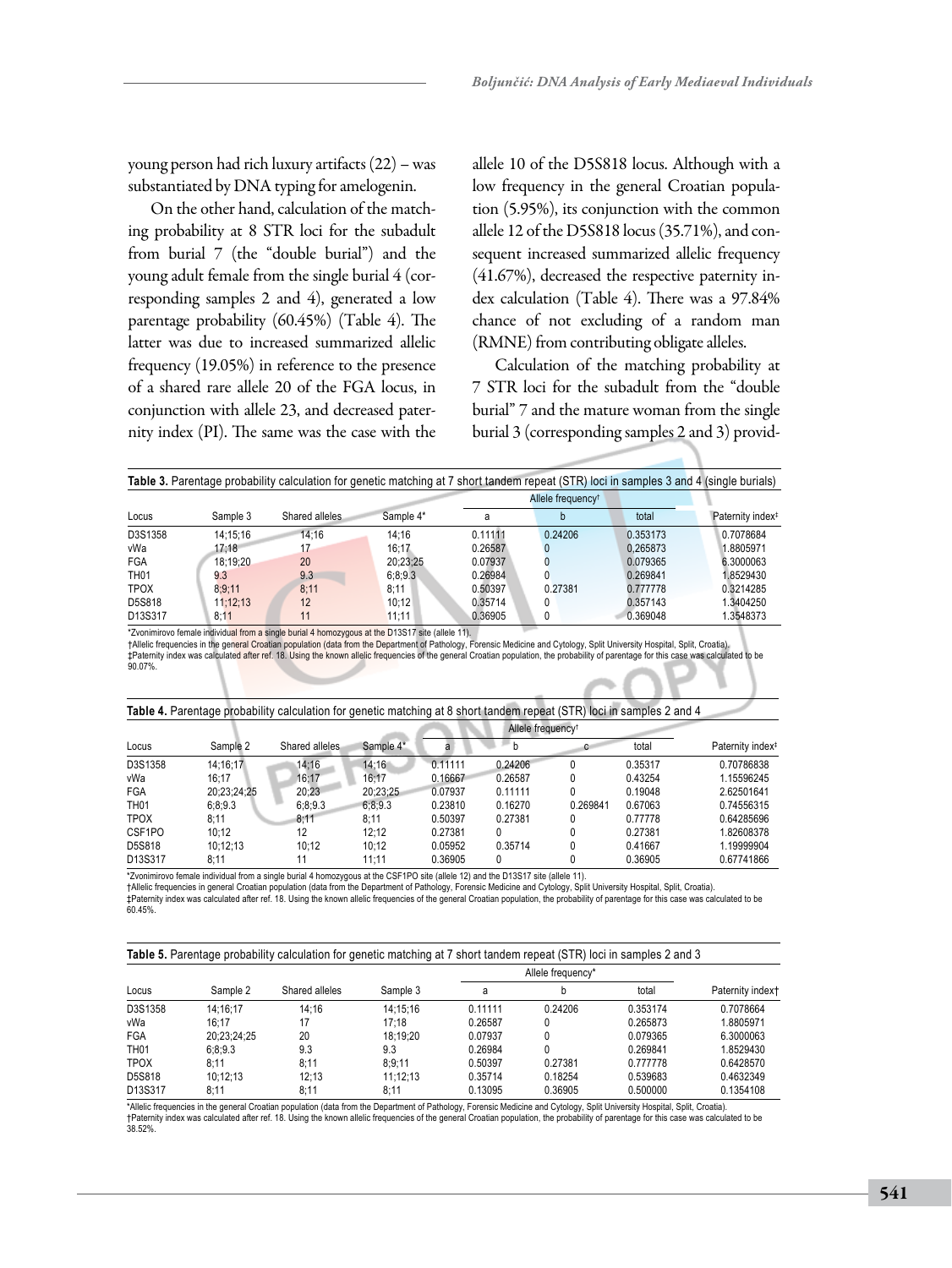young person had rich luxury artifacts (22) – was substantiated by DNA typing for amelogenin.

On the other hand, calculation of the matching probability at 8 STR loci for the subadult from burial 7 (the "double burial") and the young adult female from the single burial 4 (corresponding samples 2 and 4), generated a low parentage probability (60.45%) (Table 4). The latter was due to increased summarized allelic frequency (19.05%) in reference to the presence of a shared rare allele 20 of the FGA locus, in conjunction with allele 23, and decreased paternity index (PI). The same was the case with the allele 10 of the D5S818 locus. Although with a low frequency in the general Croatian population (5.95%), its conjunction with the common allele 12 of the D5S818 locus (35.71%), and consequent increased summarized allelic frequency (41.67%), decreased the respective paternity index calculation (Table 4). There was a 97.84% chance of not excluding of a random man (RMNE) from contributing obligate alleles.

Calculation of the matching probability at 7 STR loci for the subadult from the "double burial" 7 and the mature woman from the single burial 3 (corresponding samples 2 and 3) provid-

| Locus       | Sample 3 | Shared alleles | Sample 4* |         | Allele frequency <sup>†</sup> |          | Paternity index <sup>#</sup> |
|-------------|----------|----------------|-----------|---------|-------------------------------|----------|------------------------------|
|             |          |                |           | a       |                               | total    |                              |
| D3S1358     | 14:15:16 | 14:16          | 14:16     | 0.11111 | 0.24206                       | 0.353173 | 0.7078684                    |
| vWa         | 17:18    | 17             | 16:17     | 0.26587 | 0                             | 0.265873 | 8805971                      |
| FGA         | 18:19:20 | 20             | 20:23:25  | 0.07937 | 0                             | 0.079365 | 6.3000063                    |
| <b>TH01</b> | 9.3      | 9.3            | 6:8:9.3   | 0.26984 | 0                             | 0.269841 | 1.8529430                    |
| <b>TPOX</b> | 8:9:11   | 8:11           | 8:11      | 0.50397 | 0.27381                       | 0.777778 | 0.3214285                    |
| D5S818      | 11:12:13 | 12             | 10:12     | 0.35714 | 0                             | 0.357143 | 1.3404250                    |
| D13S317     | 8:11     | 11             | 11:11     | 0.36905 | 0                             | 0.369048 | .3548373                     |

\*Zvonimirovo female individual from a single burial 4 homozygous at the D13S17 site (allele 11). †Allelic frequencies in the general Croatian population (data from the Department of Pathology, Forensic Medicine and Cytology, Split University Hospital, Split, Croatia).<br>‡Paternity index was calculated after ref. 18. Us 90.07%.

| Table 4. Parentage probability calculation for genetic matching at 8 short tandem repeat (STR) loci in samples 2 and 4 |             |                |           |         |                               |          |         |                              |  |
|------------------------------------------------------------------------------------------------------------------------|-------------|----------------|-----------|---------|-------------------------------|----------|---------|------------------------------|--|
| Locus                                                                                                                  | Sample 2    |                |           |         | Allele frequency <sup>†</sup> |          |         |                              |  |
|                                                                                                                        |             | Shared alleles | Sample 4* | a       | b                             | c        | total   | Paternity index <sup>#</sup> |  |
| D3S1358                                                                                                                | 14:16:17    | 14:16          | 14:16     | 0.11111 | 0.24206                       |          | 0.35317 | 0.70786838                   |  |
| vWa                                                                                                                    | 16:17       | 16:17          | 16:17     | 0.16667 | 0.26587                       |          | 0.43254 | 1.15596245                   |  |
| FGA                                                                                                                    | 20:23:24:25 | 20:23          | 20:23:25  | 0.07937 | 0.11111                       |          | 0.19048 | 2.62501641                   |  |
| <b>TH01</b>                                                                                                            | 6:8:9.3     | 6:8:9.3        | 6:8:9.3   | 0.23810 | 0.16270                       | 0.269841 | 0.67063 | 0.74556315                   |  |
| <b>TPOX</b>                                                                                                            | 8:11        | 8:11           | 8:11      | 0.50397 | 0.27381                       |          | 0.77778 | 0.64285696                   |  |
| CSF1PO                                                                                                                 | 10:12       | 12             | 12:12     | 0.27381 | 0                             |          | 0.27381 | 1.82608378                   |  |
| D5S818                                                                                                                 | 10:12:13    | 10:12          | 10:12     | 0.05952 | 0.35714                       |          | 0.41667 | 1.19999904                   |  |
| D13S317                                                                                                                | 8:11        | 11             | 11:11     | 0.36905 | 0                             |          | 0.36905 | 0.67741866                   |  |

\*Zvonimirovo female individual from a single burial 4 homozygous at the CSF1PO site (allele 12) and the D13S17 site (allele 11).<br>†Allelic frequencies in general Croatian population (data from the Department of Pathology, F

‡Paternity index was calculated after ref. 18. Using the known allelic frequencies of the general Croatian population, the probability of parentage for this case was calculated to be 60.45%.

| Locus            | Sample 2    |                | Sample 3 |         | Allele frequency* |          | Paternity indext |
|------------------|-------------|----------------|----------|---------|-------------------|----------|------------------|
|                  |             | Shared alleles |          | a       |                   | total    |                  |
| D3S1358          | 14:16:17    | 14:16          | 14:15:16 | 0.11111 | 0.24206           | 0.353174 | 0.7078664        |
| vWa              | 16:17       | 17             | 17:18    | 0.26587 |                   | 0.265873 | 1.8805971        |
| FGA              | 20:23:24:25 | 20             | 18:19:20 | 0.07937 |                   | 0.079365 | 6.3000063        |
| TH <sub>01</sub> | 6:8:9.3     | 9.3            | 9.3      | 0.26984 | 0                 | 0.269841 | 1.8529430        |
| <b>TPOX</b>      | 8:11        | 8:11           | 8:9:11   | 0.50397 | 0.27381           | 0.777778 | 0.6428570        |
| D5S818           | 10:12:13    | 12:13          | 11:12:13 | 0.35714 | 0.18254           | 0.539683 | 0.4632349        |
| D13S317          | 8:11        | 8:11           | 8:11     | 0.13095 | 0.36905           | 0.500000 | 0.1354108        |

\*Allelic frequencies in the general Croatian population (data from the Department of Pathology, Forensic Medicine and Cytology, Split University Hospital, Split, Croatia). †Paternity index was calculated after ref. 18. Using the known allelic frequencies of the general Croatian population, the probability of parentage for this case was calculated to be 38.52%.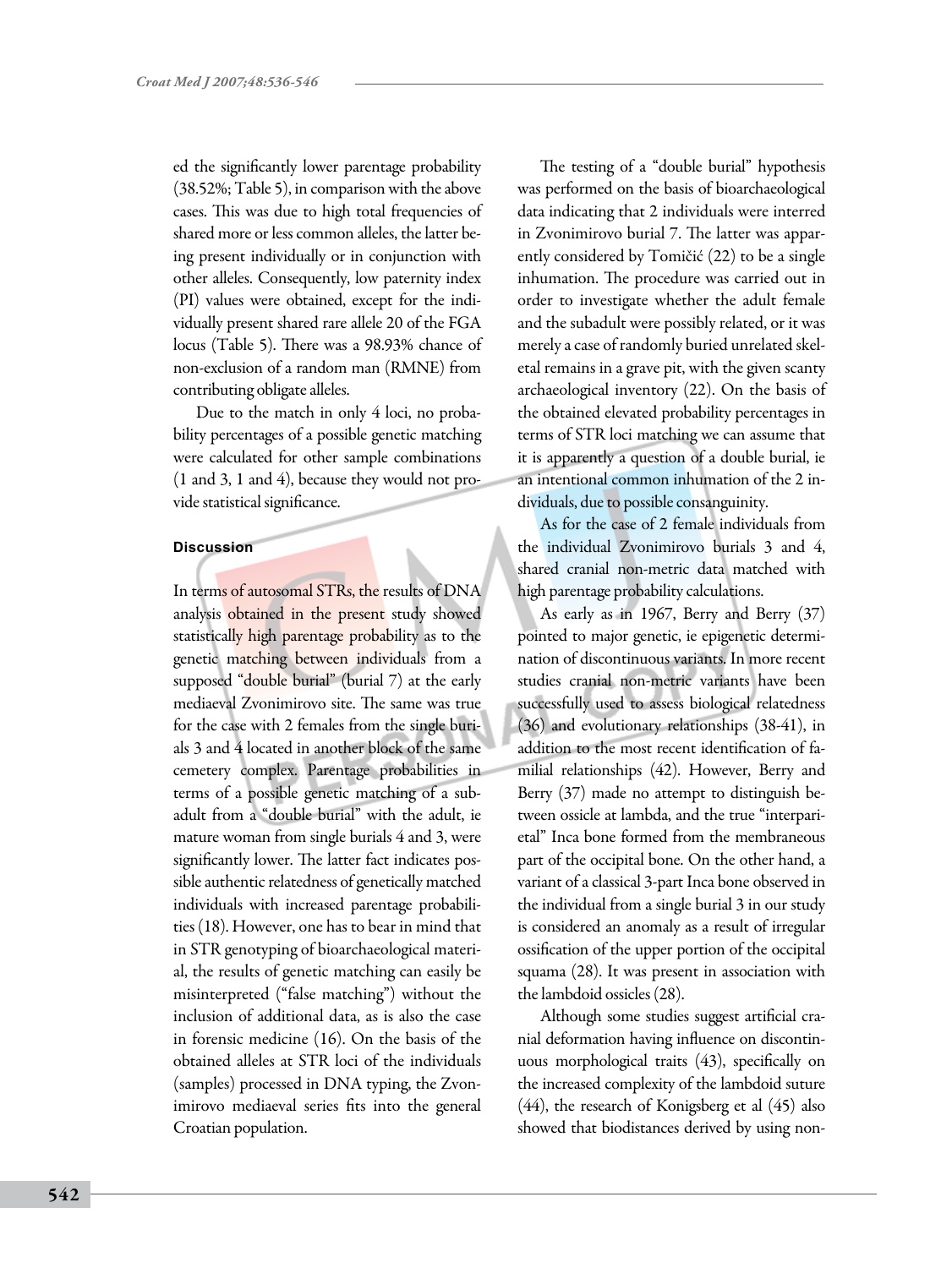ed the significantly lower parentage probability (38.52%; Table 5), in comparison with the above cases. This was due to high total frequencies of shared more or less common alleles, the latter being present individually or in conjunction with other alleles. Consequently, low paternity index (PI) values were obtained, except for the individually present shared rare allele 20 of the FGA locus (Table 5). There was a 98.93% chance of non-exclusion of a random man (RMNE) from contributing obligate alleles.

Due to the match in only 4 loci, no probability percentages of a possible genetic matching were calculated for other sample combinations (1 and 3, 1 and 4), because they would not provide statistical significance.

#### **Discussion**

In terms of autosomal STRs, the results of DNA analysis obtained in the present study showed statistically high parentage probability as to the genetic matching between individuals from a supposed "double burial" (burial 7) at the early mediaeval Zvonimirovo site. The same was true for the case with 2 females from the single burials 3 and 4 located in another block of the same cemetery complex. Parentage probabilities in terms of a possible genetic matching of a subadult from a "double burial" with the adult, ie mature woman from single burials 4 and 3, were significantly lower. The latter fact indicates possible authentic relatedness of genetically matched individuals with increased parentage probabilities (18). However, one has to bear in mind that in STR genotyping of bioarchaeological material, the results of genetic matching can easily be misinterpreted ("false matching") without the inclusion of additional data, as is also the case in forensic medicine (16). On the basis of the obtained alleles at STR loci of the individuals (samples) processed in DNA typing, the Zvonimirovo mediaeval series fits into the general Croatian population.

The testing of a "double burial" hypothesis was performed on the basis of bioarchaeological data indicating that 2 individuals were interred in Zvonimirovo burial 7. The latter was apparently considered by Tomičić (22) to be a single inhumation. The procedure was carried out in order to investigate whether the adult female and the subadult were possibly related, or it was merely a case of randomly buried unrelated skeletal remains in a grave pit, with the given scanty archaeological inventory (22). On the basis of the obtained elevated probability percentages in terms of STR loci matching we can assume that it is apparently a question of a double burial, ie an intentional common inhumation of the 2 individuals, due to possible consanguinity.

As for the case of 2 female individuals from the individual Zvonimirovo burials 3 and 4, shared cranial non-metric data matched with high parentage probability calculations.

As early as in 1967, Berry and Berry (37) pointed to major genetic, ie epigenetic determination of discontinuous variants. In more recent studies cranial non-metric variants have been successfully used to assess biological relatedness (36) and evolutionary relationships (38-41), in addition to the most recent identification of familial relationships (42). However, Berry and Berry (37) made no attempt to distinguish between ossicle at lambda, and the true "interparietal" Inca bone formed from the membraneous part of the occipital bone. On the other hand, a variant of a classical 3-part Inca bone observed in the individual from a single burial 3 in our study is considered an anomaly as a result of irregular ossification of the upper portion of the occipital squama (28). It was present in association with the lambdoid ossicles (28).

Although some studies suggest artificial cranial deformation having influence on discontinuous morphological traits (43), specifically on the increased complexity of the lambdoid suture (44), the research of Konigsberg et al (45) also showed that biodistances derived by using non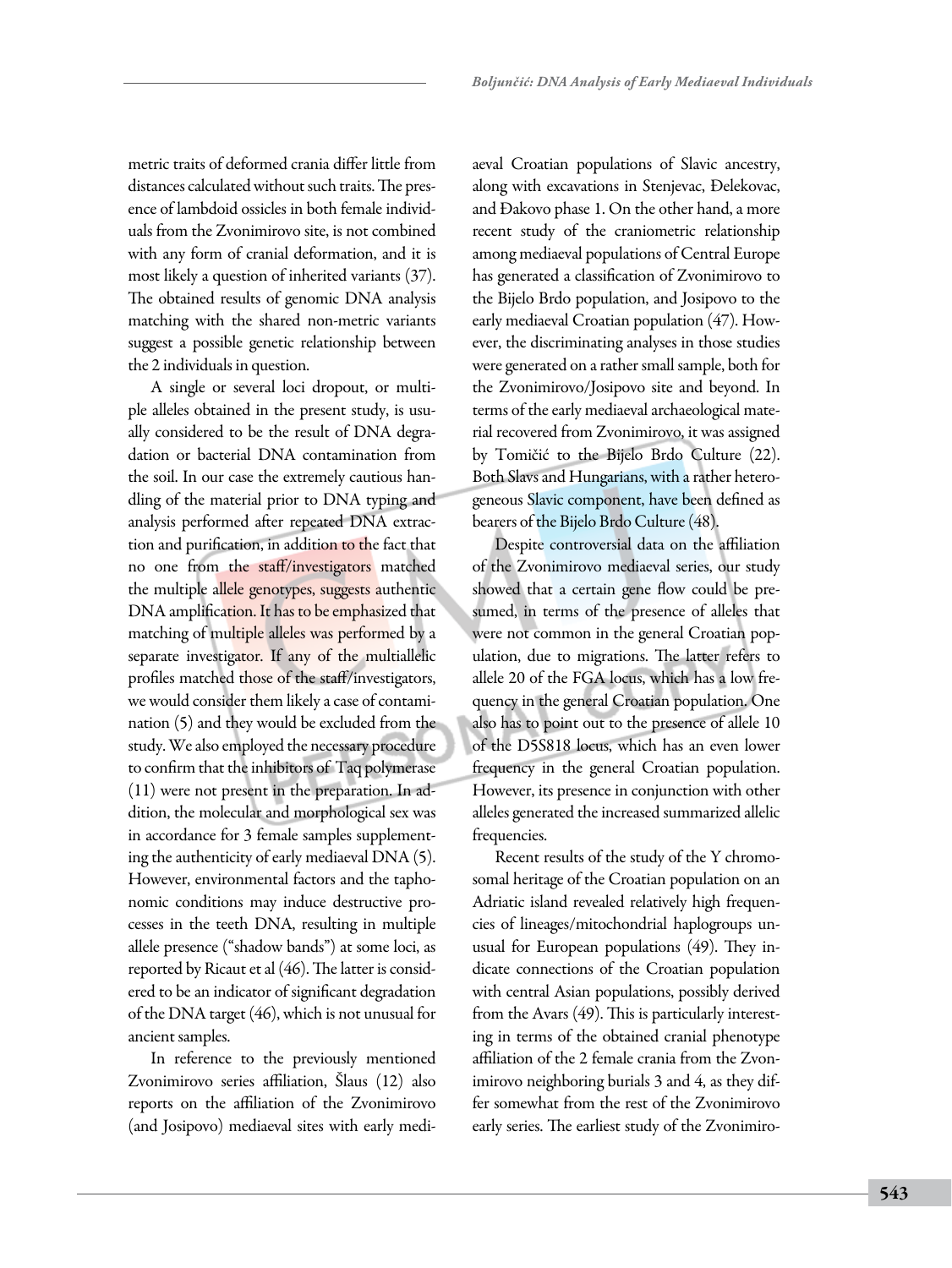metric traits of deformed crania differ little from distances calculated without such traits. The presence of lambdoid ossicles in both female individuals from the Zvonimirovo site, is not combined with any form of cranial deformation, and it is most likely a question of inherited variants (37). The obtained results of genomic DNA analysis matching with the shared non-metric variants suggest a possible genetic relationship between the 2 individuals in question.

A single or several loci dropout, or multiple alleles obtained in the present study, is usually considered to be the result of DNA degradation or bacterial DNA contamination from the soil. In our case the extremely cautious handling of the material prior to DNA typing and analysis performed after repeated DNA extraction and purification, in addition to the fact that no one from the staff/investigators matched the multiple allele genotypes, suggests authentic DNA amplification. It has to be emphasized that matching of multiple alleles was performed by a separate investigator. If any of the multiallelic profiles matched those of the staff/investigators, we would consider them likely a case of contamination (5) and they would be excluded from the study. We also employed the necessary procedure to confirm that the inhibitors of Taq polymerase (11) were not present in the preparation. In addition, the molecular and morphological sex was in accordance for 3 female samples supplementing the authenticity of early mediaeval DNA (5). However, environmental factors and the taphonomic conditions may induce destructive processes in the teeth DNA, resulting in multiple allele presence ("shadow bands") at some loci, as reported by Ricaut et al (46). The latter is considered to be an indicator of significant degradation of the DNA target (46), which is not unusual for ancient samples.

In reference to the previously mentioned Zvonimirovo series affiliation, Šlaus (12) also reports on the affiliation of the Zvonimirovo (and Josipovo) mediaeval sites with early mediaeval Croatian populations of Slavic ancestry, along with excavations in Stenjevac, Đelekovac, and Đakovo phase 1. On the other hand, a more recent study of the craniometric relationship among mediaeval populations of Central Europe has generated a classification of Zvonimirovo to the Bijelo Brdo population, and Josipovo to the early mediaeval Croatian population (47). However, the discriminating analyses in those studies were generated on a rather small sample, both for the Zvonimirovo/Josipovo site and beyond. In terms of the early mediaeval archaeological material recovered from Zvonimirovo, it was assigned by Tomičić to the Bijelo Brdo Culture (22). Both Slavs and Hungarians, with a rather heterogeneous Slavic component, have been defined as bearers of the Bijelo Brdo Culture (48).

Despite controversial data on the affiliation of the Zvonimirovo mediaeval series, our study showed that a certain gene flow could be presumed, in terms of the presence of alleles that were not common in the general Croatian population, due to migrations. The latter refers to allele 20 of the FGA locus, which has a low frequency in the general Croatian population. One also has to point out to the presence of allele 10 of the D5S818 locus, which has an even lower frequency in the general Croatian population. However, its presence in conjunction with other alleles generated the increased summarized allelic frequencies.

Recent results of the study of the Y chromosomal heritage of the Croatian population on an Adriatic island revealed relatively high frequencies of lineages/mitochondrial haplogroups unusual for European populations (49). They indicate connections of the Croatian population with central Asian populations, possibly derived from the Avars (49). This is particularly interesting in terms of the obtained cranial phenotype affiliation of the 2 female crania from the Zvonimirovo neighboring burials 3 and 4, as they differ somewhat from the rest of the Zvonimirovo early series. The earliest study of the Zvonimiro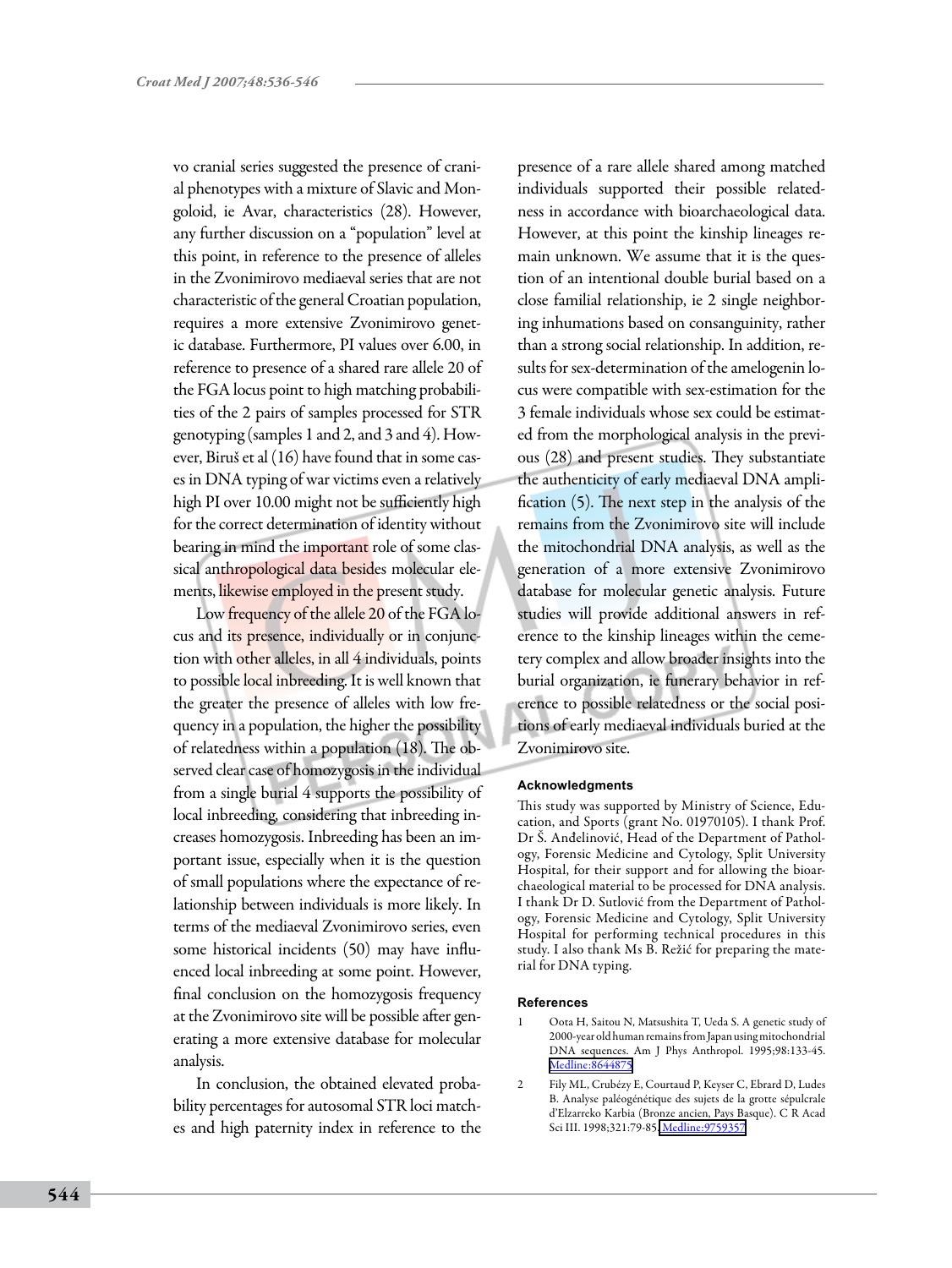vo cranial series suggested the presence of cranial phenotypes with a mixture of Slavic and Mongoloid, ie Avar, characteristics (28). However, any further discussion on a "population" level at this point, in reference to the presence of alleles in the Zvonimirovo mediaeval series that are not characteristic of the general Croatian population, requires a more extensive Zvonimirovo genetic database. Furthermore, PI values over 6.00, in reference to presence of a shared rare allele 20 of the FGA locus point to high matching probabilities of the 2 pairs of samples processed for STR genotyping (samples 1 and 2, and 3 and 4). However, Biruš et al (16) have found that in some cases in DNA typing of war victims even a relatively high PI over 10.00 might not be sufficiently high for the correct determination of identity without bearing in mind the important role of some classical anthropological data besides molecular elements, likewise employed in the present study.

Low frequency of the allele 20 of the FGA locus and its presence, individually or in conjunction with other alleles, in all 4 individuals, points to possible local inbreeding. It is well known that the greater the presence of alleles with low frequency in a population, the higher the possibility of relatedness within a population (18). The observed clear case of homozygosis in the individual from a single burial 4 supports the possibility of local inbreeding, considering that inbreeding increases homozygosis. Inbreeding has been an important issue, especially when it is the question of small populations where the expectance of relationship between individuals is more likely. In terms of the mediaeval Zvonimirovo series, even some historical incidents (50) may have influenced local inbreeding at some point. However, final conclusion on the homozygosis frequency at the Zvonimirovo site will be possible after generating a more extensive database for molecular analysis.

In conclusion, the obtained elevated probability percentages for autosomal STR loci matches and high paternity index in reference to the

presence of a rare allele shared among matched individuals supported their possible relatedness in accordance with bioarchaeological data. However, at this point the kinship lineages remain unknown. We assume that it is the question of an intentional double burial based on a close familial relationship, ie 2 single neighboring inhumations based on consanguinity, rather than a strong social relationship. In addition, results for sex-determination of the amelogenin locus were compatible with sex-estimation for the 3 female individuals whose sex could be estimated from the morphological analysis in the previous (28) and present studies. They substantiate the authenticity of early mediaeval DNA amplification (5). The next step in the analysis of the remains from the Zvonimirovo site will include the mitochondrial DNA analysis, as well as the generation of a more extensive Zvonimirovo database for molecular genetic analysis. Future studies will provide additional answers in reference to the kinship lineages within the cemetery complex and allow broader insights into the burial organization, ie funerary behavior in reference to possible relatedness or the social positions of early mediaeval individuals buried at the Zvonimirovo site.

#### **Acknowledgments**

This study was supported by Ministry of Science, Education, and Sports (grant No. 01970105). I thank Prof. Dr Š. Anđelinović, Head of the Department of Pathology, Forensic Medicine and Cytology, Split University Hospital, for their support and for allowing the bioarchaeological material to be processed for DNA analysis. I thank Dr D. Sutlović from the Department of Pathology, Forensic Medicine and Cytology, Split University Hospital for performing technical procedures in this study. I also thank Ms B. Režić for preparing the material for DNA typing.

#### **References**

- 1 Oota H, Saitou N, Matsushita T, Ueda S. A genetic study of 2000-year old human remains from Japan using mitochondrial DNA sequences. Am J Phys Anthropol. 1995;98:133-45. [Medline:8644875](http://www.ncbi.nlm.nih.gov/sites/entrez?cmd=Retrieve&db=PubMed&list_uids=8644875&dopt=Abstrac)
- 2 Fily ML, Crubézy E, Courtaud P, Keyser C, Ebrard D, Ludes B. Analyse paléogénétique des sujets de la grotte sépulcrale d'Elzarreko Karbia (Bronze ancien, Pays Basque). C R Acad Sci III. 1998;321:79-85. [Medline:9759357](http://www.ncbi.nlm.nih.gov/sites/entrez?cmd=Retrieve&db=PubMed&list_uids=9759357&dopt=Abstrac)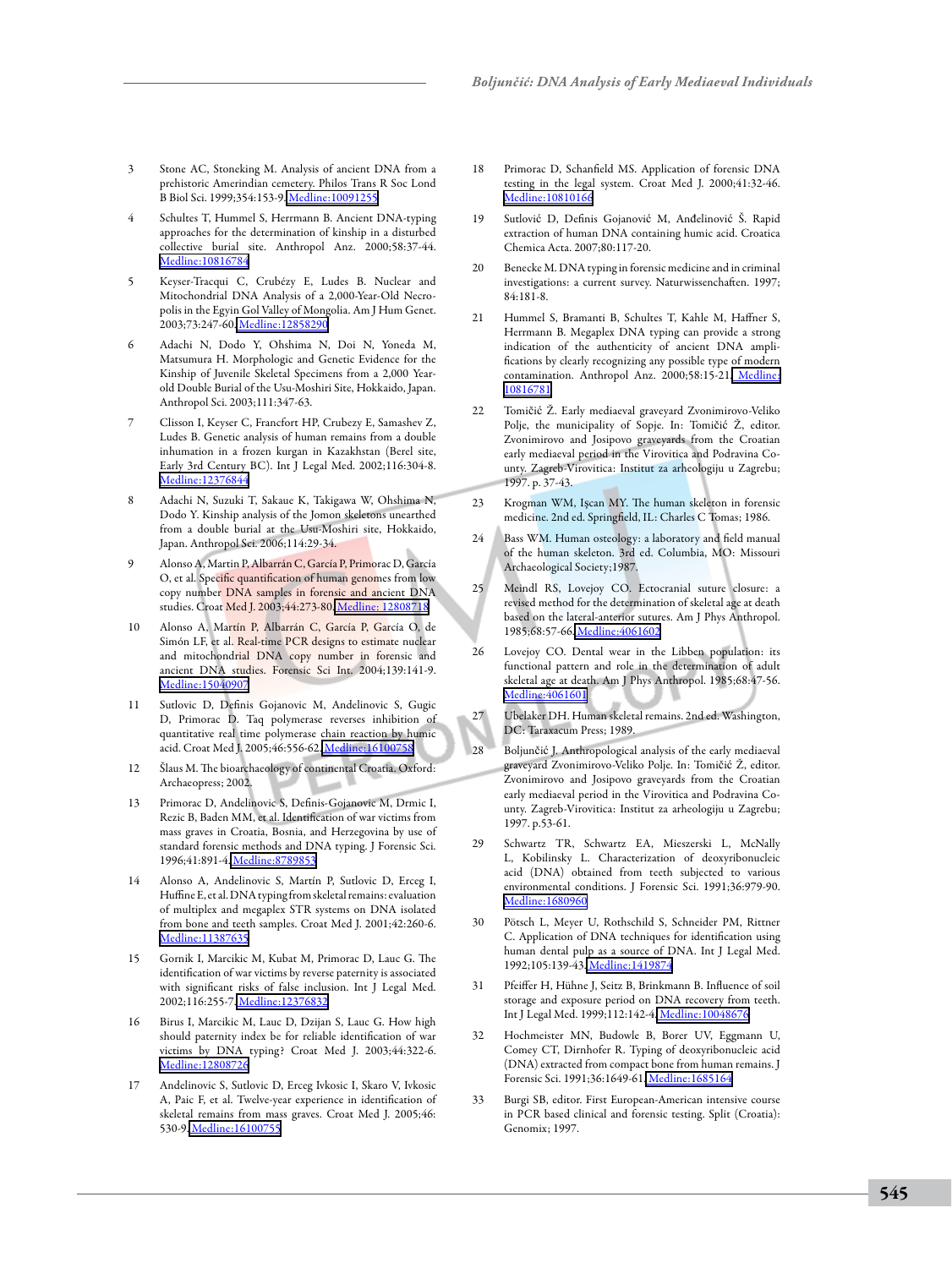- Stone AC, Stoneking M. Analysis of ancient DNA from a prehistoric Amerindian cemetery. Philos Trans R Soc Lond B Biol Sci. 1999;354:153-9[. Medline:10091255](http://www.ncbi.nlm.nih.gov/sites/entrez?cmd=Retrieve&db=PubMed&list_uids=10091255&dopt=Abstrac)
- Schultes T, Hummel S, Herrmann B. Ancient DNA-typing approaches for the determination of kinship in a disturbed collective burial site. Anthropol Anz. 2000;58:37-44. [Medline:10816784](http://www.ncbi.nlm.nih.gov/sites/entrez?cmd=Retrieve&db=PubMed&list_uids=10816784&dopt=Abstrac)
- 5 Keyser-Tracqui C, Crubézy E, Ludes B. Nuclear and Mitochondrial DNA Analysis of a 2,000-Year-Old Necropolis in the Egyin Gol Valley of Mongolia. Am J Hum Genet. 2003;73:247-60[. Medline:12858290](http://www.ncbi.nlm.nih.gov/sites/entrez?cmd=Retrieve&db=PubMed&list_uids=12858290&dopt=Abstrac)
- 6 Adachi N, Dodo Y, Ohshima N, Doi N, Yoneda M, Matsumura H. Morphologic and Genetic Evidence for the Kinship of Juvenile Skeletal Specimens from a 2,000 Yearold Double Burial of the Usu-Moshiri Site, Hokkaido, Japan. Anthropol Sci. 2003;111:347-63.
- 7 Clisson I, Keyser C, Francfort HP, Crubezy E, Samashev Z, Ludes B. Genetic analysis of human remains from a double inhumation in a frozen kurgan in Kazakhstan (Berel site, Early 3rd Century BC). Int J Legal Med. 2002;116:304-8. [Medline:12376844](http://www.ncbi.nlm.nih.gov/sites/entrez?cmd=Retrieve&db=PubMed&list_uids=12376844&dopt=Abstrac)
- 8 Adachi N, Suzuki T, Sakaue K, Takigawa W, Ohshima N, Dodo Y. Kinship analysis of the Jomon skeletons unearthed from a double burial at the Usu-Moshiri site, Hokkaido, Japan. Anthropol Sci. 2006;114:29-34.
- 9 Alonso A, Martin P, Albarrán C, García P, Primorac D, García O, et al. Specific quantification of human genomes from low copy number DNA samples in forensic and ancient DNA studies. Croat Med J. 2003;44:273-80. [Medline: 12808718](http://www.ncbi.nlm.nih.gov/sites/entrez?cmd=Retrieve&db=PubMed&list_uids=12808718&dopt=Abstrac)
- 10 Alonso A, Martín P, Albarrán C, García P, García O, de Simón LF, et al. Real-time PCR designs to estimate nuclear and mitochondrial DNA copy number in forensic and ancient DNA studies. Forensic Sci Int. 2004;139:141-9. [Medline:15040907](http://www.ncbi.nlm.nih.gov/sites/entrez?cmd=Retrieve&db=PubMed&list_uids=15040907&dopt=Abstrac)
- 11 Sutlovic D, Definis Gojanovic M, Andelinovic S, Gugic D, Primorac D. Taq polymerase reverses inhibition of quantitative real time polymerase chain reaction by humic acid. Croat Med J. 2005;46:556-62. [Medline:16100758](http://www.ncbi.nlm.nih.gov/sites/entrez?cmd=Retrieve&db=PubMed&list_uids=16100758&dopt=Abstrac)
- 12 Šlaus M. The bioarchaeology of continental Croatia. Oxford: Archaeopress; 2002.
- 13 Primorac D, Andelinovic S, Definis-Gojanovic M, Drmic I, Rezic B, Baden MM, et al. Identification of war victims from mass graves in Croatia, Bosnia, and Herzegovina by use of standard forensic methods and DNA typing. J Forensic Sci. 1996;41:891-4[. Medline:8789853](http://www.ncbi.nlm.nih.gov/sites/entrez?cmd=Retrieve&db=PubMed&list_uids=8789853&dopt=Abstrac)
- 14 Alonso A, Andelinovic S, Martín P, Sutlovic D, Erceg I, Huffine E, et al. DNA typing from skeletal remains: evaluation of multiplex and megaplex STR systems on DNA isolated from bone and teeth samples. Croat Med J. 2001;42:260-6. [Medline:11387635](http://www.ncbi.nlm.nih.gov/sites/entrez?cmd=Retrieve&db=PubMed&list_uids=11387635&dopt=Abstrac)
- 15 Gornik I, Marcikic M, Kubat M, Primorac D, Lauc G. The identification of war victims by reverse paternity is associated with significant risks of false inclusion. Int J Legal Med. 2002;116:255-7[. Medline:12376832](http://www.ncbi.nlm.nih.gov/sites/entrez?cmd=Retrieve&db=PubMed&list_uids=12376832&dopt=Abstrac)
- 16 Birus I, Marcikic M, Lauc D, Dzijan S, Lauc G. How high should paternity index be for reliable identification of war victims by DNA typing? Croat Med J. 2003;44:322-6. [Medline:12808726](http://www.ncbi.nlm.nih.gov/sites/entrez?cmd=Retrieve&db=PubMed&list_uids=12808726&dopt=Abstrac)
- 17 Andelinovic S, Sutlovic D, Erceg Ivkosic I, Skaro V, Ivkosic A, Paic F, et al. Twelve-year experience in identification of skeletal remains from mass graves. Croat Med J. 2005;46: 530-9[. Medline:16100755](http://www.ncbi.nlm.nih.gov/sites/entrez?cmd=Retrieve&db=PubMed&list_uids=16100755&dopt=Abstrac)
- 18 Primorac D, Schanfield MS. Application of forensic DNA testing in the legal system. Croat Med J. 2000;41:32-46. [Medline:10810166](http://www.ncbi.nlm.nih.gov/sites/entrez?cmd=Retrieve&db=PubMed&list_uids=10810166&dopt=Abstrac)
- Sutlović D, Definis Gojanović M, Anđelinović Š. Rapid extraction of human DNA containing humic acid. Croatica Chemica Acta. 2007;80:117-20.
- 20 Benecke M. DNA typing in forensic medicine and in criminal investigations: a current survey. Naturwissenchaften. 1997; 84:181-8.
- 21 Hummel S, Bramanti B, Schultes T, Kahle M, Haffner S, Herrmann B. Megaplex DNA typing can provide a strong indication of the authenticity of ancient DNA amplifications by clearly recognizing any possible type of modern contamination. Anthropol Anz. 2000;58:15-21[. Medline:](http://www.ncbi.nlm.nih.gov/sites/entrez?cmd=Retrieve&db=PubMed&list_uids=10816781&dopt=Abstrac) [10816781](http://www.ncbi.nlm.nih.gov/sites/entrez?cmd=Retrieve&db=PubMed&list_uids=10816781&dopt=Abstrac)
- 22 Tomičić Ž. Early mediaeval graveyard Zvonimirovo-Veliko Polje, the municipality of Sopje. In: Tomičić Ž, editor. Zvonimirovo and Josipovo graveyards from the Croatian early mediaeval period in the Virovitica and Podravina County. Zagreb-Virovitica: Institut za arheologiju u Zagrebu; 1997. p. 37-43.
- 23 Krogman WM, Işcan MY. The human skeleton in forensic medicine. 2nd ed. Springfield, IL: Charles C Tomas; 1986.
- 24 Bass WM. Human osteology: a laboratory and field manual of the human skeleton. 3rd ed. Columbia, MO: Missouri Archaeological Society;1987.
- 25 Meindl RS, Lovejoy CO. Ectocranial suture closure: a revised method for the determination of skeletal age at death based on the lateral-anterior sutures. Am J Phys Anthropol. 1985;68:57-66. [Medline:4061602](http://www.ncbi.nlm.nih.gov/sites/entrez?cmd=Retrieve&db=PubMed&list_uids=4061602&dopt=Abstrac)
- 26 Lovejoy CO. Dental wear in the Libben population: its functional pattern and role in the determination of adult skeletal age at death. Am J Phys Anthropol. 1985;68:47-56. [Medline:4061601](http://www.ncbi.nlm.nih.gov/sites/entrez?cmd=Retrieve&db=PubMed&list_uids=4061601&dopt=Abstrac)
- 27 Ubelaker DH. Human skeletal remains. 2nd ed. Washington, DC: Taraxacum Press; 1989.
- 28 Boljunčić J. Anthropological analysis of the early mediaeval graveyard Zvonimirovo-Veliko Polje. In: Tomičić Ž, editor. Zvonimirovo and Josipovo graveyards from the Croatian early mediaeval period in the Virovitica and Podravina County. Zagreb-Virovitica: Institut za arheologiju u Zagrebu; 1997. p.53-61.
- 29 Schwartz TR, Schwartz EA, Mieszerski L, McNally L, Kobilinsky L. Characterization of deoxyribonucleic acid (DNA) obtained from teeth subjected to various environmental conditions. J Forensic Sci. 1991;36:979-90. [Medline:1680960](http://www.ncbi.nlm.nih.gov/sites/entrez?cmd=Retrieve&db=PubMed&list_uids=1680960&dopt=Abstrac)
- 30 Pötsch L, Meyer U, Rothschild S, Schneider PM, Rittner C. Application of DNA techniques for identification using human dental pulp as a source of DNA. Int J Legal Med. 1992;105:139-43[. Medline:1419874](http://www.ncbi.nlm.nih.gov/sites/entrez?cmd=Retrieve&db=PubMed&list_uids=1419874&dopt=Abstrac)
- 31 Pfeiffer H, Hühne J, Seitz B, Brinkmann B. Influence of soil storage and exposure period on DNA recovery from teeth. Int J Legal Med. 1999;112:142-4[. Medline:10048676](http://www.ncbi.nlm.nih.gov/sites/entrez?cmd=Retrieve&db=PubMed&list_uids=10048676&dopt=Abstrac)
- 32 Hochmeister MN, Budowle B, Borer UV, Eggmann U, Comey CT, Dirnhofer R. Typing of deoxyribonucleic acid (DNA) extracted from compact bone from human remains. J Forensic Sci. 1991;36:1649-61[. Medline:1685164](http://www.ncbi.nlm.nih.gov/sites/entrez?cmd=Retrieve&db=PubMed&list_uids=1685164&dopt=Abstrac)
- 33 Burgi SB, editor. First European-American intensive course in PCR based clinical and forensic testing. Split (Croatia): Genomix; 1997.